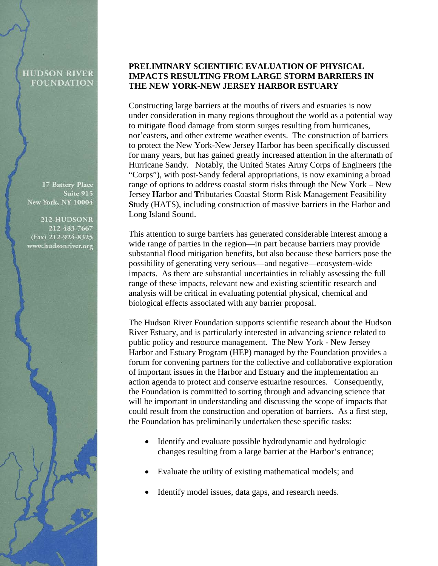## **HUDSON RIVER FOUNDATION**

17 Battery Place Suite 915 New York, NY 10004

212-HUDSONR 212-483-7667 (Fax) 212-924-8325 www.hudsonriver.org

## **PRELIMINARY SCIENTIFIC EVALUATION OF PHYSICAL IMPACTS RESULTING FROM LARGE STORM BARRIERS IN THE NEW YORK-NEW JERSEY HARBOR ESTUARY**

Constructing large barriers at the mouths of rivers and estuaries is now under consideration in many regions throughout the world as a potential way to mitigate flood damage from storm surges resulting from hurricanes, nor'easters, and other extreme weather events. The construction of barriers to protect the New York-New Jersey Harbor has been specifically discussed for many years, but has gained greatly increased attention in the aftermath of Hurricane Sandy. Notably, the United States Army Corps of Engineers (the "Corps"), with post-Sandy federal appropriations, is now examining a broad range of options to address coastal storm risks through the New York – New Jersey **H**arbor **a**nd **T**ributaries Coastal Storm Risk Management Feasibility **S**tudy (HATS), including construction of massive barriers in the Harbor and Long Island Sound.

This attention to surge barriers has generated considerable interest among a wide range of parties in the region—in part because barriers may provide substantial flood mitigation benefits, but also because these barriers pose the possibility of generating very serious—and negative—ecosystem-wide impacts. As there are substantial uncertainties in reliably assessing the full range of these impacts, relevant new and existing scientific research and analysis will be critical in evaluating potential physical, chemical and biological effects associated with any barrier proposal.

The Hudson River Foundation supports scientific research about the Hudson River Estuary, and is particularly interested in advancing science related to public policy and resource management. The New York - New Jersey Harbor and Estuary Program (HEP) managed by the Foundation provides a forum for convening partners for the collective and collaborative exploration of important issues in the Harbor and Estuary and the implementation an action agenda to protect and conserve estuarine resources. Consequently, the Foundation is committed to sorting through and advancing science that will be important in understanding and discussing the scope of impacts that could result from the construction and operation of barriers. As a first step, the Foundation has preliminarily undertaken these specific tasks:

- Identify and evaluate possible hydrodynamic and hydrologic changes resulting from a large barrier at the Harbor's entrance;
- Evaluate the utility of existing mathematical models; and
- Identify model issues, data gaps, and research needs.